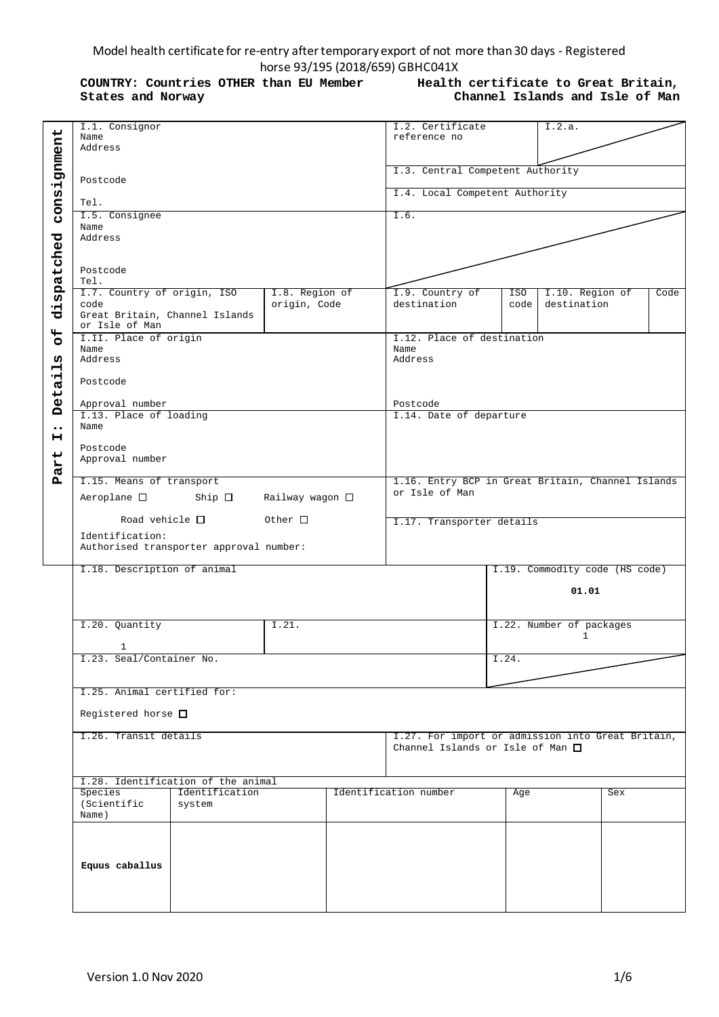# Model health certificate for re-entry after temporary export of not more than 30 days - Registered horse 93/195 (2018/659) GBHC041X

**COUNTRY: Countries OTHER than EU Member States and Norway**

**Health certificate to Great Britain, Channel Islands and Isle of Man**

|                         | I.1. Consignor                                        | I.2. Certificate                         |       | I.2.a.                                            |      |
|-------------------------|-------------------------------------------------------|------------------------------------------|-------|---------------------------------------------------|------|
|                         | Name                                                  | reference no                             |       |                                                   |      |
|                         | Address                                               |                                          |       |                                                   |      |
|                         |                                                       |                                          |       |                                                   |      |
|                         |                                                       |                                          |       |                                                   |      |
|                         |                                                       | I.3. Central Competent Authority         |       |                                                   |      |
|                         | Postcode                                              |                                          |       |                                                   |      |
|                         |                                                       | I.4. Local Competent Authority           |       |                                                   |      |
|                         |                                                       |                                          |       |                                                   |      |
| consignment             | Tel.                                                  |                                          |       |                                                   |      |
|                         | I.5. Consignee                                        | I.6.                                     |       |                                                   |      |
|                         | Name                                                  |                                          |       |                                                   |      |
|                         |                                                       |                                          |       |                                                   |      |
| dispatched              | Address                                               |                                          |       |                                                   |      |
|                         |                                                       |                                          |       |                                                   |      |
|                         |                                                       |                                          |       |                                                   |      |
|                         |                                                       |                                          |       |                                                   |      |
|                         | Postcode                                              |                                          |       |                                                   |      |
|                         | Tel.                                                  |                                          |       |                                                   |      |
|                         | I.7. Country of origin, ISO<br>I.8. Region of         | I.9. Country of                          | ISO   | I.10. Region of                                   | Code |
|                         |                                                       |                                          |       |                                                   |      |
|                         | origin, Code<br>code                                  | destination                              | code  | destination                                       |      |
|                         | Great Britain, Channel Islands                        |                                          |       |                                                   |      |
|                         | or Isle of Man                                        |                                          |       |                                                   |      |
|                         |                                                       |                                          |       |                                                   |      |
| $\overline{\mathbf{C}}$ | I.II. Place of origin                                 | I.12. Place of destination               |       |                                                   |      |
|                         | Name                                                  | Name                                     |       |                                                   |      |
| w                       | Address                                               | Address                                  |       |                                                   |      |
|                         |                                                       |                                          |       |                                                   |      |
| Н                       |                                                       |                                          |       |                                                   |      |
| ᆏ                       | Postcode                                              |                                          |       |                                                   |      |
|                         |                                                       |                                          |       |                                                   |      |
| eta.                    |                                                       |                                          |       |                                                   |      |
|                         | Approval number                                       | Postcode                                 |       |                                                   |      |
| Ă                       | I.13. Place of loading                                | I.14. Date of departure                  |       |                                                   |      |
|                         |                                                       |                                          |       |                                                   |      |
| $\bullet\bullet$        | Name                                                  |                                          |       |                                                   |      |
| н                       |                                                       |                                          |       |                                                   |      |
|                         | Postcode                                              |                                          |       |                                                   |      |
|                         |                                                       |                                          |       |                                                   |      |
|                         | Approval number                                       |                                          |       |                                                   |      |
| art                     |                                                       |                                          |       |                                                   |      |
| д                       | I.15. Means of transport                              |                                          |       | 1.16. Entry BCP in Great Britain, Channel Islands |      |
|                         |                                                       |                                          |       |                                                   |      |
|                         | Aeroplane $\square$ Ship $\square$<br>Railway wagon □ | or Isle of Man                           |       |                                                   |      |
|                         |                                                       |                                          |       |                                                   |      |
|                         |                                                       |                                          |       |                                                   |      |
|                         |                                                       |                                          |       |                                                   |      |
|                         | Road vehicle $\Box$<br>Other $\Box$                   | I.17. Transporter details                |       |                                                   |      |
|                         |                                                       |                                          |       |                                                   |      |
|                         | Identification:                                       |                                          |       |                                                   |      |
|                         | Authorised transporter approval number:               |                                          |       |                                                   |      |
|                         |                                                       |                                          |       |                                                   |      |
|                         |                                                       |                                          |       |                                                   |      |
|                         | I.18. Description of animal                           |                                          |       | I.19. Commodity code (HS code)                    |      |
|                         |                                                       |                                          |       |                                                   |      |
|                         |                                                       |                                          |       | 01.01                                             |      |
|                         |                                                       |                                          |       |                                                   |      |
|                         |                                                       |                                          |       |                                                   |      |
|                         |                                                       |                                          |       |                                                   |      |
|                         | I.20. Quantity<br>I.21.                               |                                          |       | I.22. Number of packages                          |      |
|                         |                                                       |                                          |       | $\mathbf{1}$                                      |      |
|                         |                                                       |                                          |       |                                                   |      |
|                         | 1                                                     |                                          |       |                                                   |      |
|                         | I.23. Seal/Container No.                              |                                          | I.24. |                                                   |      |
|                         |                                                       |                                          |       |                                                   |      |
|                         |                                                       |                                          |       |                                                   |      |
|                         |                                                       |                                          |       |                                                   |      |
|                         | I.25. Animal certified for:                           |                                          |       |                                                   |      |
|                         |                                                       |                                          |       |                                                   |      |
|                         | Registered horse $\square$                            |                                          |       |                                                   |      |
|                         |                                                       |                                          |       |                                                   |      |
|                         |                                                       |                                          |       |                                                   |      |
|                         | I.26. Transit details                                 |                                          |       | I.27. For import or admission into Great Britain, |      |
|                         |                                                       | Channel Islands or Isle of Man $\square$ |       |                                                   |      |
|                         |                                                       |                                          |       |                                                   |      |
|                         |                                                       |                                          |       |                                                   |      |
|                         |                                                       |                                          |       |                                                   |      |
|                         | I.28. Identification of the animal                    |                                          |       |                                                   |      |
|                         | Species<br>Identification                             | Identification number                    | Age   | Sex                                               |      |
|                         |                                                       |                                          |       |                                                   |      |
|                         | (Scientific<br>system                                 |                                          |       |                                                   |      |
|                         | Name)                                                 |                                          |       |                                                   |      |
|                         |                                                       |                                          |       |                                                   |      |
|                         |                                                       |                                          |       |                                                   |      |
|                         |                                                       |                                          |       |                                                   |      |
|                         |                                                       |                                          |       |                                                   |      |
|                         |                                                       |                                          |       |                                                   |      |
|                         | Equus caballus                                        |                                          |       |                                                   |      |
|                         |                                                       |                                          |       |                                                   |      |
|                         |                                                       |                                          |       |                                                   |      |
|                         |                                                       |                                          |       |                                                   |      |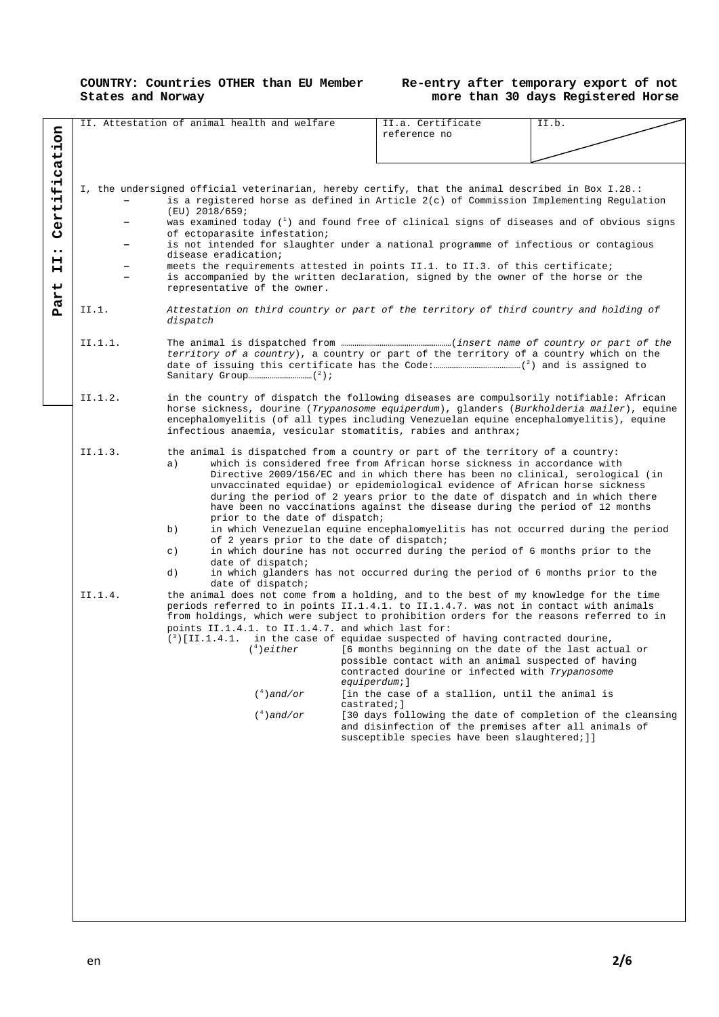#### **COUNTRY: Countries OTHER than EU Member States and Norway**

## **Re-entry after temporary export of not more than 30 days Registered Horse**

|                  |         | II. Attestation of animal health and welfare                                                                                                                                                                                                        | II.a. Certificate<br>reference no                                                                                                                             | II.b.                                                                           |
|------------------|---------|-----------------------------------------------------------------------------------------------------------------------------------------------------------------------------------------------------------------------------------------------------|---------------------------------------------------------------------------------------------------------------------------------------------------------------|---------------------------------------------------------------------------------|
| cation           |         |                                                                                                                                                                                                                                                     |                                                                                                                                                               |                                                                                 |
|                  |         |                                                                                                                                                                                                                                                     |                                                                                                                                                               |                                                                                 |
|                  |         |                                                                                                                                                                                                                                                     |                                                                                                                                                               |                                                                                 |
| $\ddot{t}$       |         | I, the undersigned official veterinarian, hereby certify, that the animal described in Box I.28.:<br>is a registered horse as defined in Article $2(c)$ of Commission Implementing Regulation                                                       |                                                                                                                                                               |                                                                                 |
| Certi:           |         | $(EU)$ 2018/659;<br>was examined today (1) and found free of clinical signs of diseases and of obvious signs                                                                                                                                        |                                                                                                                                                               |                                                                                 |
|                  |         | of ectoparasite infestation;                                                                                                                                                                                                                        |                                                                                                                                                               |                                                                                 |
| $\bullet\bullet$ |         | is not intended for slaughter under a national programme of infectious or contagious<br>disease eradication;                                                                                                                                        |                                                                                                                                                               |                                                                                 |
| н<br>н           |         | meets the requirements attested in points II.1. to II.3. of this certificate;                                                                                                                                                                       |                                                                                                                                                               |                                                                                 |
| Part             |         | is accompanied by the written declaration, signed by the owner of the horse or the<br>representative of the owner.                                                                                                                                  |                                                                                                                                                               |                                                                                 |
|                  | II.1.   | Attestation on third country or part of the territory of third country and holding of<br>dispatch                                                                                                                                                   |                                                                                                                                                               |                                                                                 |
|                  | II.1.1. | territory of a country), a country or part of the territory of a country which on the                                                                                                                                                               |                                                                                                                                                               |                                                                                 |
|                  | II.1.2. | in the country of dispatch the following diseases are compulsorily notifiable: African                                                                                                                                                              |                                                                                                                                                               |                                                                                 |
|                  |         | horse sickness, dourine (Trypanosome equiperdum), glanders (Burkholderia mailer), equine<br>encephalomyelitis (of all types including Venezuelan equine encephalomyelitis), equine<br>infectious anaemia, vesicular stomatitis, rabies and anthrax; |                                                                                                                                                               |                                                                                 |
|                  | II.1.3. | the animal is dispatched from a country or part of the territory of a country:                                                                                                                                                                      |                                                                                                                                                               |                                                                                 |
|                  |         | a)                                                                                                                                                                                                                                                  | which is considered free from African horse sickness in accordance with                                                                                       |                                                                                 |
|                  |         |                                                                                                                                                                                                                                                     | Directive 2009/156/EC and in which there has been no clinical, serological (in<br>unvaccinated equidae) or epidemiological evidence of African horse sickness |                                                                                 |
|                  |         |                                                                                                                                                                                                                                                     | during the period of 2 years prior to the date of dispatch and in which there                                                                                 |                                                                                 |
|                  |         | prior to the date of dispatch;                                                                                                                                                                                                                      | have been no vaccinations against the disease during the period of 12 months                                                                                  |                                                                                 |
|                  |         | b)<br>of 2 years prior to the date of dispatch;                                                                                                                                                                                                     |                                                                                                                                                               | in which Venezuelan equine encephalomyelitis has not occurred during the period |
|                  |         | $\in$ )                                                                                                                                                                                                                                             | in which dourine has not occurred during the period of 6 months prior to the                                                                                  |                                                                                 |
|                  |         | date of dispatch;<br>d)<br>date of dispatch;                                                                                                                                                                                                        | in which glanders has not occurred during the period of 6 months prior to the                                                                                 |                                                                                 |
|                  | II.1.4. | the animal does not come from a holding, and to the best of my knowledge for the time<br>periods referred to in points II.1.4.1. to II.1.4.7. was not in contact with animals                                                                       |                                                                                                                                                               |                                                                                 |
|                  |         | from holdings, which were subject to prohibition orders for the reasons referred to in                                                                                                                                                              |                                                                                                                                                               |                                                                                 |
|                  |         | points II.1.4.1. to II.1.4.7. and which last for:<br>$\binom{3}{1}$ [II.1.4.1. in the case of equidae suspected of having contracted dourine,                                                                                                       |                                                                                                                                                               |                                                                                 |
|                  |         | $(4)$ either                                                                                                                                                                                                                                        | [6 months beginning on the date of the last actual or                                                                                                         |                                                                                 |
|                  |         |                                                                                                                                                                                                                                                     | possible contact with an animal suspected of having<br>contracted dourine or infected with Trypanosome                                                        |                                                                                 |
|                  |         | $($ <sup>4</sup> ) and/or                                                                                                                                                                                                                           | equiperdum;]<br>[in the case of a stallion, until the animal is                                                                                               |                                                                                 |
|                  |         | $($ <sup>4</sup> $)$ and/or                                                                                                                                                                                                                         | castrated; 1                                                                                                                                                  | [30 days following the date of completion of the cleansing                      |
|                  |         |                                                                                                                                                                                                                                                     | and disinfection of the premises after all animals of<br>susceptible species have been slaughtered; ] ]                                                       |                                                                                 |
|                  |         |                                                                                                                                                                                                                                                     |                                                                                                                                                               |                                                                                 |
|                  |         |                                                                                                                                                                                                                                                     |                                                                                                                                                               |                                                                                 |
|                  |         |                                                                                                                                                                                                                                                     |                                                                                                                                                               |                                                                                 |
|                  |         |                                                                                                                                                                                                                                                     |                                                                                                                                                               |                                                                                 |
|                  |         |                                                                                                                                                                                                                                                     |                                                                                                                                                               |                                                                                 |
|                  |         |                                                                                                                                                                                                                                                     |                                                                                                                                                               |                                                                                 |
|                  |         |                                                                                                                                                                                                                                                     |                                                                                                                                                               |                                                                                 |
|                  |         |                                                                                                                                                                                                                                                     |                                                                                                                                                               |                                                                                 |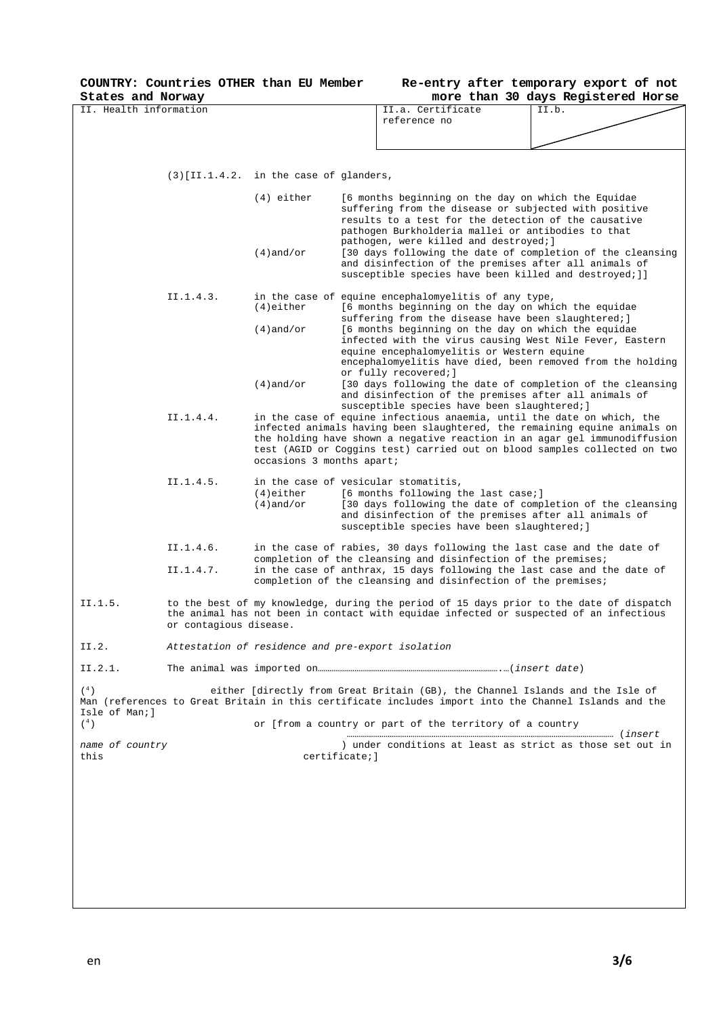**COUNTRY: Countries OTHER than EU Member** 

| Re-entry after temporary export of not |  |  |                                    |  |
|----------------------------------------|--|--|------------------------------------|--|
|                                        |  |  | more than 30 days Registered Horse |  |

| States and Norway          |                        |                                                   |                |                                                                                                                                | more than 30 days Registered Horse                                                                                                                                                                                                                                                                            |  |
|----------------------------|------------------------|---------------------------------------------------|----------------|--------------------------------------------------------------------------------------------------------------------------------|---------------------------------------------------------------------------------------------------------------------------------------------------------------------------------------------------------------------------------------------------------------------------------------------------------------|--|
| II. Health information     |                        |                                                   |                | II.a. Certificate                                                                                                              | II.b.                                                                                                                                                                                                                                                                                                         |  |
|                            |                        |                                                   |                | reference no                                                                                                                   |                                                                                                                                                                                                                                                                                                               |  |
|                            |                        |                                                   |                |                                                                                                                                |                                                                                                                                                                                                                                                                                                               |  |
|                            |                        |                                                   |                |                                                                                                                                |                                                                                                                                                                                                                                                                                                               |  |
|                            |                        |                                                   |                |                                                                                                                                |                                                                                                                                                                                                                                                                                                               |  |
|                            |                        | $(3)$ [II.1.4.2. in the case of glanders,         |                |                                                                                                                                |                                                                                                                                                                                                                                                                                                               |  |
|                            |                        | $(4)$ either                                      |                |                                                                                                                                | [6 months beginning on the day on which the Equidae<br>suffering from the disease or subjected with positive                                                                                                                                                                                                  |  |
|                            |                        |                                                   |                | pathogen, were killed and destroyed; ]                                                                                         | results to a test for the detection of the causative<br>pathogen Burkholderia mallei or antibodies to that                                                                                                                                                                                                    |  |
|                            |                        | $(4)$ and/or                                      |                |                                                                                                                                | [30 days following the date of completion of the cleansing<br>and disinfection of the premises after all animals of<br>susceptible species have been killed and destroyed; ] ]                                                                                                                                |  |
|                            | II.1.4.3.              | $(4)$ either                                      |                | in the case of equine encephalomyelitis of any type,                                                                           | [6 months beginning on the day on which the equidae                                                                                                                                                                                                                                                           |  |
|                            |                        | $(4)$ and/or                                      |                |                                                                                                                                | suffering from the disease have been slaughtered; ]<br>[6 months beginning on the day on which the equidae<br>infected with the virus causing West Nile Fever, Eastern                                                                                                                                        |  |
|                            |                        |                                                   |                | equine encephalomyelitis or Western equine<br>or fully recovered; ]                                                            | encephalomyelitis have died, been removed from the holding                                                                                                                                                                                                                                                    |  |
|                            |                        | $(4)$ and/or                                      |                | susceptible species have been slaughtered; ]                                                                                   | [30 days following the date of completion of the cleansing<br>and disinfection of the premises after all animals of                                                                                                                                                                                           |  |
|                            | II.1.4.4.              | occasions 3 months apart;                         |                |                                                                                                                                | in the case of equine infectious anaemia, until the date on which, the<br>infected animals having been slaughtered, the remaining equine animals on<br>the holding have shown a negative reaction in an agar gel immunodiffusion<br>test (AGID or Coggins test) carried out on blood samples collected on two |  |
|                            |                        |                                                   |                |                                                                                                                                |                                                                                                                                                                                                                                                                                                               |  |
|                            | II.1.4.5.              | $(4)$ either<br>$(4)$ and/or                      |                | in the case of vesicular stomatitis,<br>[6 months following the last case;]<br>susceptible species have been slaughtered; ]    | [30 days following the date of completion of the cleansing<br>and disinfection of the premises after all animals of                                                                                                                                                                                           |  |
|                            | II.1.4.6.              |                                                   |                |                                                                                                                                | in the case of rabies, 30 days following the last case and the date of                                                                                                                                                                                                                                        |  |
|                            | II.1.4.7.              |                                                   |                | completion of the cleansing and disinfection of the premises;<br>completion of the cleansing and disinfection of the premises; | in the case of anthrax, 15 days following the last case and the date of                                                                                                                                                                                                                                       |  |
| II.1.5.                    | or contagious disease. |                                                   |                |                                                                                                                                | to the best of my knowledge, during the period of 15 days prior to the date of dispatch<br>the animal has not been in contact with equidae infected or suspected of an infectious                                                                                                                             |  |
| II.2.                      |                        | Attestation of residence and pre-export isolation |                |                                                                                                                                |                                                                                                                                                                                                                                                                                                               |  |
| II.2.1.                    |                        |                                                   |                |                                                                                                                                |                                                                                                                                                                                                                                                                                                               |  |
| $(^{4}$ )<br>Isle of Man;l |                        |                                                   |                |                                                                                                                                | either [directly from Great Britain (GB), the Channel Islands and the Isle of<br>Man (references to Great Britain in this certificate includes import into the Channel Islands and the                                                                                                                        |  |
| $(^4)$                     |                        |                                                   |                | or [from a country or part of the territory of a country                                                                       |                                                                                                                                                                                                                                                                                                               |  |
| name of country<br>this    |                        |                                                   | certificate; ] |                                                                                                                                | ) under conditions at least as strict as those set out in                                                                                                                                                                                                                                                     |  |
|                            |                        |                                                   |                |                                                                                                                                |                                                                                                                                                                                                                                                                                                               |  |
|                            |                        |                                                   |                |                                                                                                                                |                                                                                                                                                                                                                                                                                                               |  |
|                            |                        |                                                   |                |                                                                                                                                |                                                                                                                                                                                                                                                                                                               |  |
|                            |                        |                                                   |                |                                                                                                                                |                                                                                                                                                                                                                                                                                                               |  |
|                            |                        |                                                   |                |                                                                                                                                |                                                                                                                                                                                                                                                                                                               |  |
|                            |                        |                                                   |                |                                                                                                                                |                                                                                                                                                                                                                                                                                                               |  |
|                            |                        |                                                   |                |                                                                                                                                |                                                                                                                                                                                                                                                                                                               |  |
|                            |                        |                                                   |                |                                                                                                                                |                                                                                                                                                                                                                                                                                                               |  |
|                            |                        |                                                   |                |                                                                                                                                |                                                                                                                                                                                                                                                                                                               |  |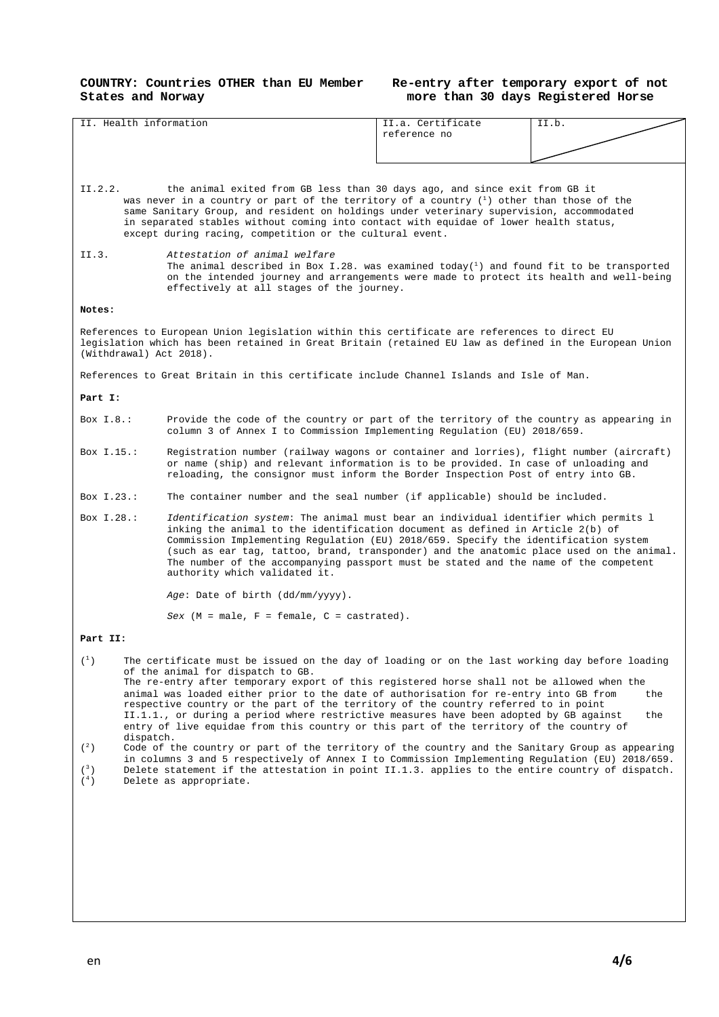#### **COUNTRY: Countries OTHER than EU Member States and Norway**

#### **Re-entry after temporary export of not more than 30 days Registered Horse**

| II. Health information                                                                                                                                                                                                                                                               |                                                                                                                                                                                                                                                                                                                                                                                                                                                                                                                                                                                                                                                                                                                                                                                                                                                                                                                                           | II.a. Certificate<br>reference no                                            | II.b.      |  |  |  |
|--------------------------------------------------------------------------------------------------------------------------------------------------------------------------------------------------------------------------------------------------------------------------------------|-------------------------------------------------------------------------------------------------------------------------------------------------------------------------------------------------------------------------------------------------------------------------------------------------------------------------------------------------------------------------------------------------------------------------------------------------------------------------------------------------------------------------------------------------------------------------------------------------------------------------------------------------------------------------------------------------------------------------------------------------------------------------------------------------------------------------------------------------------------------------------------------------------------------------------------------|------------------------------------------------------------------------------|------------|--|--|--|
|                                                                                                                                                                                                                                                                                      |                                                                                                                                                                                                                                                                                                                                                                                                                                                                                                                                                                                                                                                                                                                                                                                                                                                                                                                                           |                                                                              |            |  |  |  |
|                                                                                                                                                                                                                                                                                      |                                                                                                                                                                                                                                                                                                                                                                                                                                                                                                                                                                                                                                                                                                                                                                                                                                                                                                                                           |                                                                              |            |  |  |  |
|                                                                                                                                                                                                                                                                                      |                                                                                                                                                                                                                                                                                                                                                                                                                                                                                                                                                                                                                                                                                                                                                                                                                                                                                                                                           |                                                                              |            |  |  |  |
| II.2.2.                                                                                                                                                                                                                                                                              | the animal exited from GB less than 30 days ago, and since exit from GB it<br>was never in a country or part of the territory of a country $\binom{1}{1}$ other than those of the<br>same Sanitary Group, and resident on holdings under veterinary supervision, accommodated<br>in separated stables without coming into contact with equidae of lower health status,<br>except during racing, competition or the cultural event.                                                                                                                                                                                                                                                                                                                                                                                                                                                                                                        |                                                                              |            |  |  |  |
| II.3.                                                                                                                                                                                                                                                                                | Attestation of animal welfare<br>The animal described in Box I.28. was examined today( $^1$ ) and found fit to be transported<br>on the intended journey and arrangements were made to protect its health and well-being<br>effectively at all stages of the journey.                                                                                                                                                                                                                                                                                                                                                                                                                                                                                                                                                                                                                                                                     |                                                                              |            |  |  |  |
| Notes:                                                                                                                                                                                                                                                                               |                                                                                                                                                                                                                                                                                                                                                                                                                                                                                                                                                                                                                                                                                                                                                                                                                                                                                                                                           |                                                                              |            |  |  |  |
| (Withdrawal) Act 2018).                                                                                                                                                                                                                                                              | References to European Union legislation within this certificate are references to direct EU<br>legislation which has been retained in Great Britain (retained EU law as defined in the European Union                                                                                                                                                                                                                                                                                                                                                                                                                                                                                                                                                                                                                                                                                                                                    |                                                                              |            |  |  |  |
|                                                                                                                                                                                                                                                                                      | References to Great Britain in this certificate include Channel Islands and Isle of Man.                                                                                                                                                                                                                                                                                                                                                                                                                                                                                                                                                                                                                                                                                                                                                                                                                                                  |                                                                              |            |  |  |  |
| Part I:                                                                                                                                                                                                                                                                              |                                                                                                                                                                                                                                                                                                                                                                                                                                                                                                                                                                                                                                                                                                                                                                                                                                                                                                                                           |                                                                              |            |  |  |  |
| Box $I.8.$ :                                                                                                                                                                                                                                                                         | Provide the code of the country or part of the territory of the country as appearing in<br>column 3 of Annex I to Commission Implementing Regulation (EU) 2018/659.                                                                                                                                                                                                                                                                                                                                                                                                                                                                                                                                                                                                                                                                                                                                                                       |                                                                              |            |  |  |  |
| Box $I.15.$ :<br>Registration number (railway wagons or container and lorries), flight number (aircraft)<br>or name (ship) and relevant information is to be provided. In case of unloading and<br>reloading, the consignor must inform the Border Inspection Post of entry into GB. |                                                                                                                                                                                                                                                                                                                                                                                                                                                                                                                                                                                                                                                                                                                                                                                                                                                                                                                                           |                                                                              |            |  |  |  |
| Box $I.23$ .:                                                                                                                                                                                                                                                                        |                                                                                                                                                                                                                                                                                                                                                                                                                                                                                                                                                                                                                                                                                                                                                                                                                                                                                                                                           | The container number and the seal number (if applicable) should be included. |            |  |  |  |
| Box $I.28$ .:                                                                                                                                                                                                                                                                        | Identification system: The animal must bear an individual identifier which permits 1<br>inking the animal to the identification document as defined in Article 2(b) of<br>Commission Implementing Regulation (EU) 2018/659. Specify the identification system<br>(such as ear tag, tattoo, brand, transponder) and the anatomic place used on the animal.<br>The number of the accompanying passport must be stated and the name of the competent<br>authority which validated it.                                                                                                                                                                                                                                                                                                                                                                                                                                                        |                                                                              |            |  |  |  |
|                                                                                                                                                                                                                                                                                      | Age: Date of birth (dd/mm/yyyy).                                                                                                                                                                                                                                                                                                                                                                                                                                                                                                                                                                                                                                                                                                                                                                                                                                                                                                          |                                                                              |            |  |  |  |
|                                                                                                                                                                                                                                                                                      | $Sex (M = male, F = female, C = castrated).$                                                                                                                                                                                                                                                                                                                                                                                                                                                                                                                                                                                                                                                                                                                                                                                                                                                                                              |                                                                              |            |  |  |  |
| Part II:                                                                                                                                                                                                                                                                             |                                                                                                                                                                                                                                                                                                                                                                                                                                                                                                                                                                                                                                                                                                                                                                                                                                                                                                                                           |                                                                              |            |  |  |  |
| $(\begin{smallmatrix}1\\1\end{smallmatrix})$<br>dispatch.<br>(2)<br>$({}^3)$<br>$(^4)$                                                                                                                                                                                               | The certificate must be issued on the day of loading or on the last working day before loading<br>of the animal for dispatch to GB.<br>The re-entry after temporary export of this registered horse shall not be allowed when the<br>animal was loaded either prior to the date of authorisation for re-entry into GB from<br>respective country or the part of the territory of the country referred to in point<br>II.1.1., or during a period where restrictive measures have been adopted by GB against<br>entry of live equidae from this country or this part of the territory of the country of<br>Code of the country or part of the territory of the country and the Sanitary Group as appearing<br>in columns 3 and 5 respectively of Annex I to Commission Implementing Regulation (EU) 2018/659.<br>Delete statement if the attestation in point II.1.3. applies to the entire country of dispatch.<br>Delete as appropriate. |                                                                              | the<br>the |  |  |  |
|                                                                                                                                                                                                                                                                                      |                                                                                                                                                                                                                                                                                                                                                                                                                                                                                                                                                                                                                                                                                                                                                                                                                                                                                                                                           |                                                                              |            |  |  |  |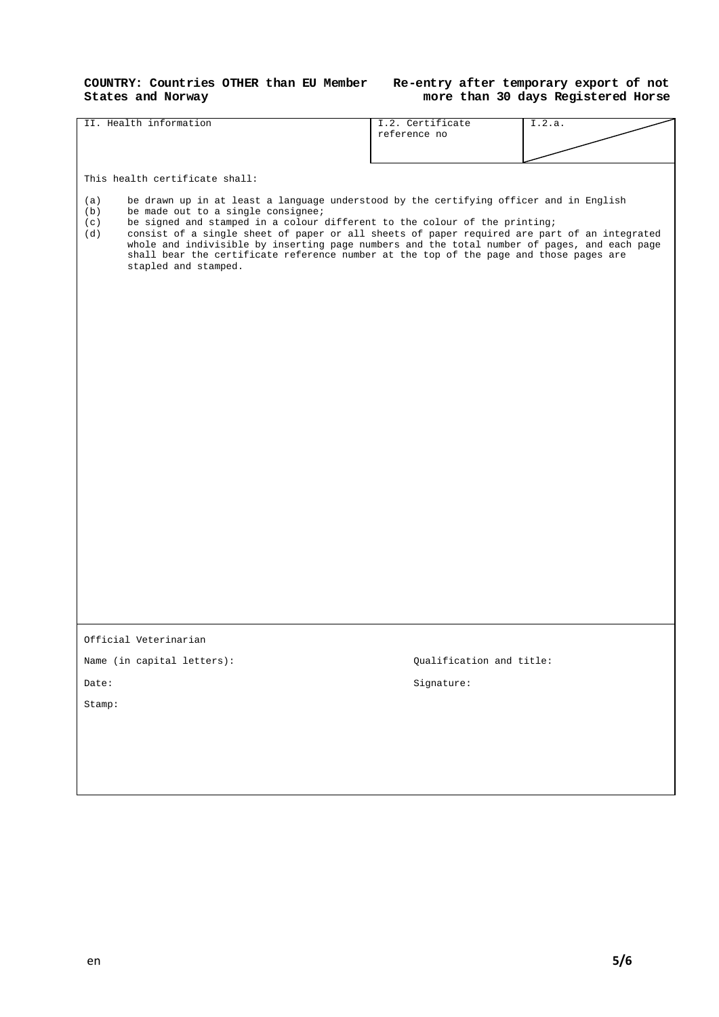#### **COUNTRY: Countries OTHER than EU Member States and Norway**

## **Re-entry after temporary export of not more than 30 days Registered Horse**

| II. Health information                                                                                                                                                                                                                                                                                                                                                                                                                 | I.2. Certificate         | I.2.a. |
|----------------------------------------------------------------------------------------------------------------------------------------------------------------------------------------------------------------------------------------------------------------------------------------------------------------------------------------------------------------------------------------------------------------------------------------|--------------------------|--------|
|                                                                                                                                                                                                                                                                                                                                                                                                                                        | reference no             |        |
|                                                                                                                                                                                                                                                                                                                                                                                                                                        |                          |        |
|                                                                                                                                                                                                                                                                                                                                                                                                                                        |                          |        |
| This health certificate shall:                                                                                                                                                                                                                                                                                                                                                                                                         |                          |        |
| be drawn up in at least a language understood by the certifying officer and in English<br>(a)<br>be made out to a single consignee;<br>(b)<br>be signed and stamped in a colour different to the colour of the printing;<br>(c)<br>consist of a single sheet of paper or all sheets of paper required are part of an integrated<br>(d)<br>whole and indivisible by inserting page numbers and the total number of pages, and each page |                          |        |
| shall bear the certificate reference number at the top of the page and those pages are<br>stapled and stamped.                                                                                                                                                                                                                                                                                                                         |                          |        |
|                                                                                                                                                                                                                                                                                                                                                                                                                                        |                          |        |
|                                                                                                                                                                                                                                                                                                                                                                                                                                        |                          |        |
|                                                                                                                                                                                                                                                                                                                                                                                                                                        |                          |        |
|                                                                                                                                                                                                                                                                                                                                                                                                                                        |                          |        |
|                                                                                                                                                                                                                                                                                                                                                                                                                                        |                          |        |
|                                                                                                                                                                                                                                                                                                                                                                                                                                        |                          |        |
|                                                                                                                                                                                                                                                                                                                                                                                                                                        |                          |        |
|                                                                                                                                                                                                                                                                                                                                                                                                                                        |                          |        |
|                                                                                                                                                                                                                                                                                                                                                                                                                                        |                          |        |
|                                                                                                                                                                                                                                                                                                                                                                                                                                        |                          |        |
|                                                                                                                                                                                                                                                                                                                                                                                                                                        |                          |        |
|                                                                                                                                                                                                                                                                                                                                                                                                                                        |                          |        |
|                                                                                                                                                                                                                                                                                                                                                                                                                                        |                          |        |
|                                                                                                                                                                                                                                                                                                                                                                                                                                        |                          |        |
|                                                                                                                                                                                                                                                                                                                                                                                                                                        |                          |        |
|                                                                                                                                                                                                                                                                                                                                                                                                                                        |                          |        |
|                                                                                                                                                                                                                                                                                                                                                                                                                                        |                          |        |
|                                                                                                                                                                                                                                                                                                                                                                                                                                        |                          |        |
|                                                                                                                                                                                                                                                                                                                                                                                                                                        |                          |        |
|                                                                                                                                                                                                                                                                                                                                                                                                                                        |                          |        |
|                                                                                                                                                                                                                                                                                                                                                                                                                                        |                          |        |
|                                                                                                                                                                                                                                                                                                                                                                                                                                        |                          |        |
|                                                                                                                                                                                                                                                                                                                                                                                                                                        |                          |        |
|                                                                                                                                                                                                                                                                                                                                                                                                                                        |                          |        |
| Official Veterinarian                                                                                                                                                                                                                                                                                                                                                                                                                  |                          |        |
| Name (in capital letters):                                                                                                                                                                                                                                                                                                                                                                                                             | Qualification and title: |        |
| Date:                                                                                                                                                                                                                                                                                                                                                                                                                                  | Signature:               |        |
|                                                                                                                                                                                                                                                                                                                                                                                                                                        |                          |        |
| Stamp:                                                                                                                                                                                                                                                                                                                                                                                                                                 |                          |        |
|                                                                                                                                                                                                                                                                                                                                                                                                                                        |                          |        |
|                                                                                                                                                                                                                                                                                                                                                                                                                                        |                          |        |
|                                                                                                                                                                                                                                                                                                                                                                                                                                        |                          |        |
|                                                                                                                                                                                                                                                                                                                                                                                                                                        |                          |        |
|                                                                                                                                                                                                                                                                                                                                                                                                                                        |                          |        |